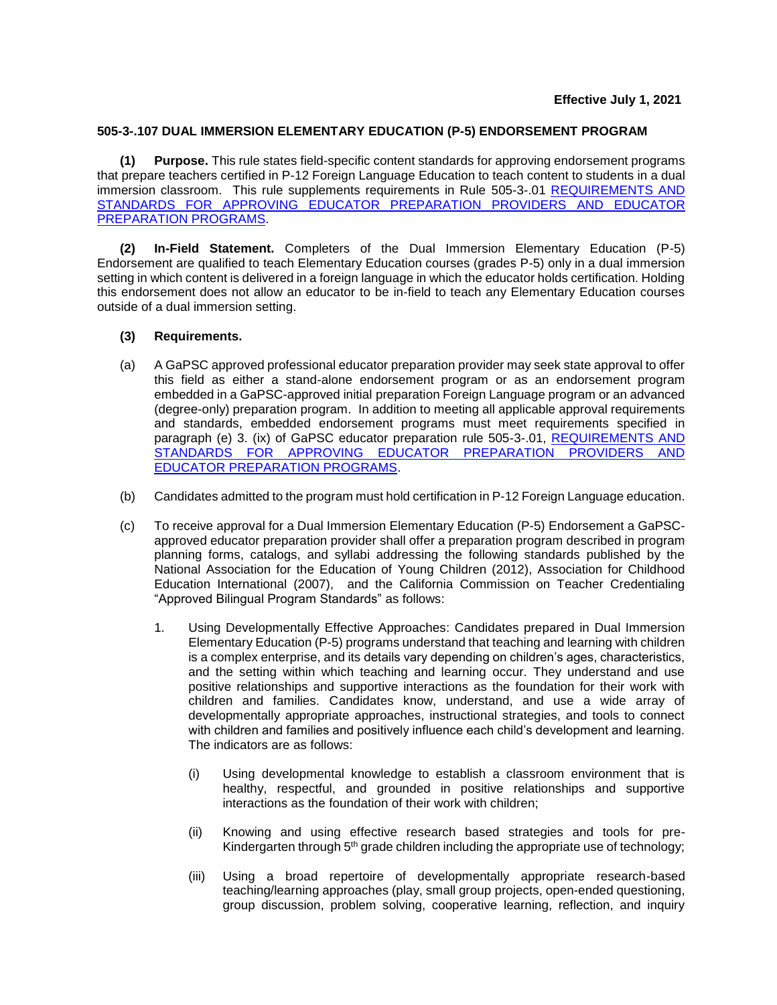## **505-3-.107 DUAL IMMERSION ELEMENTARY EDUCATION (P-5) ENDORSEMENT PROGRAM**

**(1) Purpose.** This rule states field-specific content standards for approving endorsement programs that prepare teachers certified in P-12 Foreign Language Education to teach content to students in a dual immersion classroom. This rule supplements requirements in Rule [505-3-.01](http://www.gapsc.com/Rules/Current/EducatorPreparation/505-3-.01.pdf) REQUIREMENTS AND [STANDARDS FOR APPROVING EDUCATOR PREPARATION PROVIDERS](https://www.gapsc.com/Rules/Current/EducatorPreparation/505-3-.01.pdf?dt=%3C%25#Eval() AND EDUCATOR [PREPARATION PROGRAMS.](https://www.gapsc.com/Rules/Current/EducatorPreparation/505-3-.01.pdf?dt=%3C%25#Eval()

**(2) In-Field Statement.** Completers of the Dual Immersion Elementary Education (P-5) Endorsement are qualified to teach Elementary Education courses (grades P-5) only in a dual immersion setting in which content is delivered in a foreign language in which the educator holds certification. Holding this endorsement does not allow an educator to be in-field to teach any Elementary Education courses outside of a dual immersion setting.

## **(3) Requirements.**

- (a) A GaPSC approved professional educator preparation provider may seek state approval to offer this field as either a stand-alone endorsement program or as an endorsement program embedded in a GaPSC-approved initial preparation Foreign Language program or an advanced (degree-only) preparation program. In addition to meeting all applicable approval requirements and standards, embedded endorsement programs must meet requirements specified in paragraph (e) 3. (ix) of GaPSC educator preparation rule 505-3-.01, [REQUIREMENTS AND](https://www.gapsc.com/Rules/Current/EducatorPreparation/505-3-.01.pdf?dt=%3C%25#Eval()  [STANDARDS FOR APPROVING EDUCATOR PREPARATION PROVIDERS AND](https://www.gapsc.com/Rules/Current/EducatorPreparation/505-3-.01.pdf?dt=%3C%25#Eval()  [EDUCATOR PREPARATION PROGRAMS.](https://www.gapsc.com/Rules/Current/EducatorPreparation/505-3-.01.pdf?dt=%3C%25#Eval()
- (b) Candidates admitted to the program must hold certification in P-12 Foreign Language education.
- (c) To receive approval for a Dual Immersion Elementary Education (P-5) Endorsement a GaPSCapproved educator preparation provider shall offer a preparation program described in program planning forms, catalogs, and syllabi addressing the following standards published by the National Association for the Education of Young Children (2012), Association for Childhood Education International (2007), and the California Commission on Teacher Credentialing "Approved Bilingual Program Standards" as follows:
	- 1. Using Developmentally Effective Approaches: Candidates prepared in Dual Immersion Elementary Education (P-5) programs understand that teaching and learning with children is a complex enterprise, and its details vary depending on children's ages, characteristics, and the setting within which teaching and learning occur. They understand and use positive relationships and supportive interactions as the foundation for their work with children and families. Candidates know, understand, and use a wide array of developmentally appropriate approaches, instructional strategies, and tools to connect with children and families and positively influence each child's development and learning. The indicators are as follows:
		- (i) Using developmental knowledge to establish a classroom environment that is healthy, respectful, and grounded in positive relationships and supportive interactions as the foundation of their work with children;
		- (ii) Knowing and using effective research based strategies and tools for pre-Kindergarten through  $5<sup>th</sup>$  grade children including the appropriate use of technology;
		- (iii) Using a broad repertoire of developmentally appropriate research-based teaching/learning approaches (play, small group projects, open-ended questioning, group discussion, problem solving, cooperative learning, reflection, and inquiry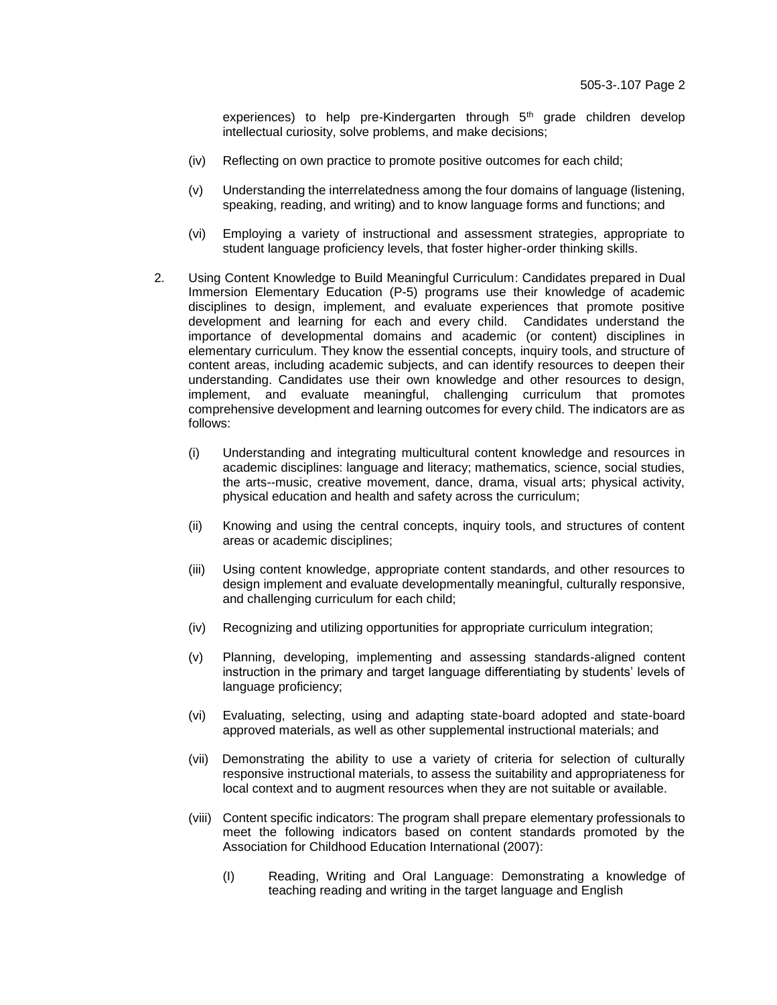experiences) to help pre-Kindergarten through  $5<sup>th</sup>$  grade children develop intellectual curiosity, solve problems, and make decisions;

- (iv) Reflecting on own practice to promote positive outcomes for each child;
- (v) Understanding the interrelatedness among the four domains of language (listening, speaking, reading, and writing) and to know language forms and functions; and
- (vi) Employing a variety of instructional and assessment strategies, appropriate to student language proficiency levels, that foster higher-order thinking skills.
- 2. Using Content Knowledge to Build Meaningful Curriculum: Candidates prepared in Dual Immersion Elementary Education (P-5) programs use their knowledge of academic disciplines to design, implement, and evaluate experiences that promote positive development and learning for each and every child. Candidates understand the importance of developmental domains and academic (or content) disciplines in elementary curriculum. They know the essential concepts, inquiry tools, and structure of content areas, including academic subjects, and can identify resources to deepen their understanding. Candidates use their own knowledge and other resources to design, implement, and evaluate meaningful, challenging curriculum that promotes comprehensive development and learning outcomes for every child. The indicators are as follows:
	- (i) Understanding and integrating multicultural content knowledge and resources in academic disciplines: language and literacy; mathematics, science, social studies, the arts--music, creative movement, dance, drama, visual arts; physical activity, physical education and health and safety across the curriculum;
	- (ii) Knowing and using the central concepts, inquiry tools, and structures of content areas or academic disciplines;
	- (iii) Using content knowledge, appropriate content standards, and other resources to design implement and evaluate developmentally meaningful, culturally responsive, and challenging curriculum for each child;
	- (iv) Recognizing and utilizing opportunities for appropriate curriculum integration;
	- (v) Planning, developing, implementing and assessing standards-aligned content instruction in the primary and target language differentiating by students' levels of language proficiency;
	- (vi) Evaluating, selecting, using and adapting state-board adopted and state-board approved materials, as well as other supplemental instructional materials; and
	- (vii) Demonstrating the ability to use a variety of criteria for selection of culturally responsive instructional materials, to assess the suitability and appropriateness for local context and to augment resources when they are not suitable or available.
	- (viii) Content specific indicators: The program shall prepare elementary professionals to meet the following indicators based on content standards promoted by the Association for Childhood Education International (2007):
		- (I) Reading, Writing and Oral Language: Demonstrating a knowledge of teaching reading and writing in the target language and English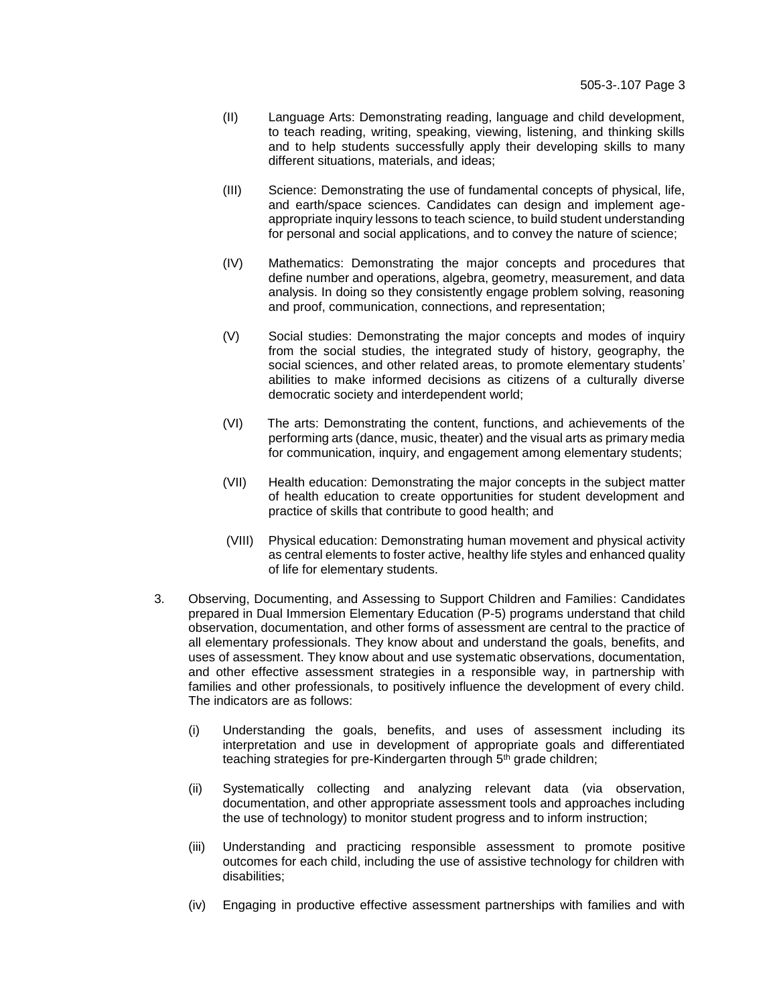- (II) Language Arts: Demonstrating reading, language and child development, to teach reading, writing, speaking, viewing, listening, and thinking skills and to help students successfully apply their developing skills to many different situations, materials, and ideas;
- (III) Science: Demonstrating the use of fundamental concepts of physical, life, and earth/space sciences. Candidates can design and implement ageappropriate inquiry lessons to teach science, to build student understanding for personal and social applications, and to convey the nature of science;
- (IV) Mathematics: Demonstrating the major concepts and procedures that define number and operations, algebra, geometry, measurement, and data analysis. In doing so they consistently engage problem solving, reasoning and proof, communication, connections, and representation;
- (V) Social studies: Demonstrating the major concepts and modes of inquiry from the social studies, the integrated study of history, geography, the social sciences, and other related areas, to promote elementary students' abilities to make informed decisions as citizens of a culturally diverse democratic society and interdependent world;
- (VI) The arts: Demonstrating the content, functions, and achievements of the performing arts (dance, music, theater) and the visual arts as primary media for communication, inquiry, and engagement among elementary students;
- (VII) Health education: Demonstrating the major concepts in the subject matter of health education to create opportunities for student development and practice of skills that contribute to good health; and
- (VIII) Physical education: Demonstrating human movement and physical activity as central elements to foster active, healthy life styles and enhanced quality of life for elementary students.
- 3. Observing, Documenting, and Assessing to Support Children and Families: Candidates prepared in Dual Immersion Elementary Education (P-5) programs understand that child observation, documentation, and other forms of assessment are central to the practice of all elementary professionals. They know about and understand the goals, benefits, and uses of assessment. They know about and use systematic observations, documentation, and other effective assessment strategies in a responsible way, in partnership with families and other professionals, to positively influence the development of every child. The indicators are as follows:
	- (i) Understanding the goals, benefits, and uses of assessment including its interpretation and use in development of appropriate goals and differentiated teaching strategies for pre-Kindergarten through 5<sup>th</sup> grade children;
	- (ii) Systematically collecting and analyzing relevant data (via observation, documentation, and other appropriate assessment tools and approaches including the use of technology) to monitor student progress and to inform instruction;
	- (iii) Understanding and practicing responsible assessment to promote positive outcomes for each child, including the use of assistive technology for children with disabilities;
	- (iv) Engaging in productive effective assessment partnerships with families and with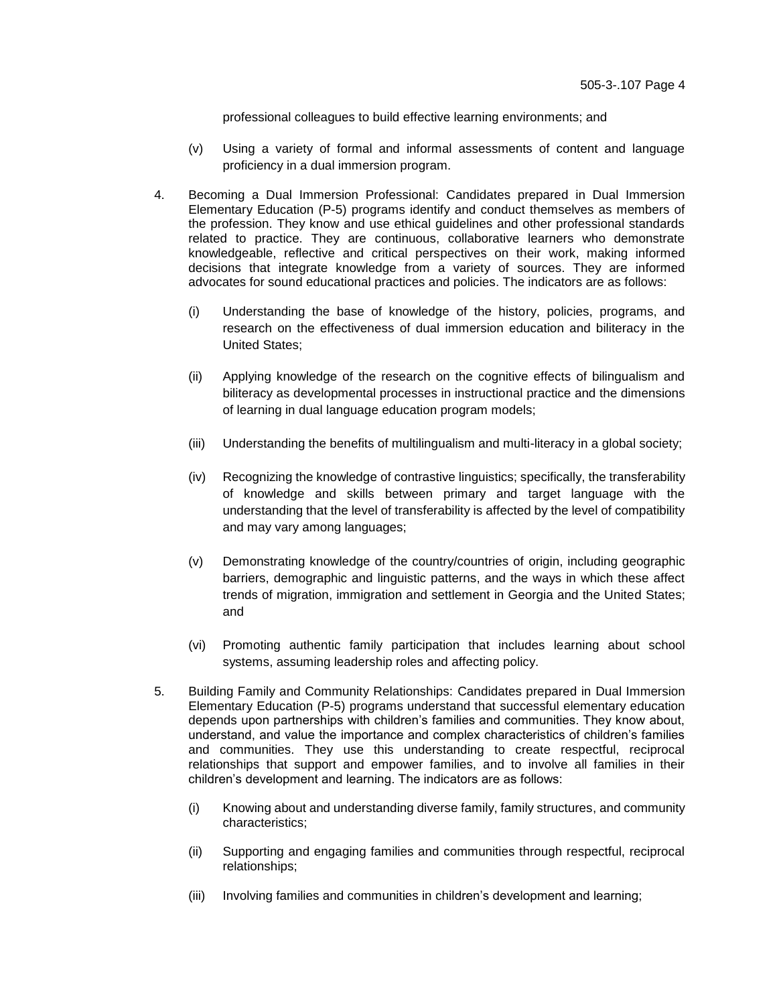professional colleagues to build effective learning environments; and

- (v) Using a variety of formal and informal assessments of content and language proficiency in a dual immersion program.
- 4. Becoming a Dual Immersion Professional: Candidates prepared in Dual Immersion Elementary Education (P-5) programs identify and conduct themselves as members of the profession. They know and use ethical guidelines and other professional standards related to practice. They are continuous, collaborative learners who demonstrate knowledgeable, reflective and critical perspectives on their work, making informed decisions that integrate knowledge from a variety of sources. They are informed advocates for sound educational practices and policies. The indicators are as follows:
	- (i) Understanding the base of knowledge of the history, policies, programs, and research on the effectiveness of dual immersion education and biliteracy in the United States;
	- (ii) Applying knowledge of the research on the cognitive effects of bilingualism and biliteracy as developmental processes in instructional practice and the dimensions of learning in dual language education program models;
	- (iii) Understanding the benefits of multilingualism and multi-literacy in a global society;
	- (iv) Recognizing the knowledge of contrastive linguistics; specifically, the transferability of knowledge and skills between primary and target language with the understanding that the level of transferability is affected by the level of compatibility and may vary among languages;
	- (v) Demonstrating knowledge of the country/countries of origin, including geographic barriers, demographic and linguistic patterns, and the ways in which these affect trends of migration, immigration and settlement in Georgia and the United States; and
	- (vi) Promoting authentic family participation that includes learning about school systems, assuming leadership roles and affecting policy.
- 5. Building Family and Community Relationships: Candidates prepared in Dual Immersion Elementary Education (P-5) programs understand that successful elementary education depends upon partnerships with children's families and communities. They know about, understand, and value the importance and complex characteristics of children's families and communities. They use this understanding to create respectful, reciprocal relationships that support and empower families, and to involve all families in their children's development and learning. The indicators are as follows:
	- (i) Knowing about and understanding diverse family, family structures, and community characteristics;
	- (ii) Supporting and engaging families and communities through respectful, reciprocal relationships;
	- (iii) Involving families and communities in children's development and learning;